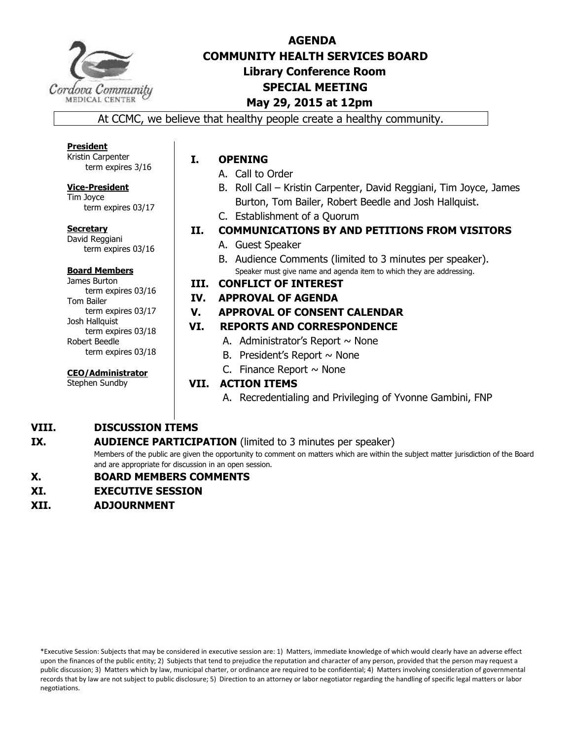

# **AGENDA COMMUNITY HEALTH SERVICES BOARD Library Conference Room SPECIAL MEETING May 29, 2015 at 12pm**

At CCMC, we believe that healthy people create a healthy community.

**President**  Kristin Carpenter term expires 3/16

#### **Vice-President**  Tim Joyce

term expires 03/17

**Secretary**  David Reggiani term expires 03/16

#### **Board Members**

James Burton term expires 03/16 Tom Bailer term expires 03/17 Josh Hallquist term expires 03/18 Robert Beedle term expires 03/18

**CEO/Administrator** 

Stephen Sundby

## **I. OPENING**

- A. Call to Order
- B. Roll Call Kristin Carpenter, David Reggiani, Tim Joyce, James Burton, Tom Bailer, Robert Beedle and Josh Hallquist.
- C. Establishment of a Quorum
- **II. COMMUNICATIONS BY AND PETITIONS FROM VISITORS** 
	- A. Guest Speaker
	- B. Audience Comments (limited to 3 minutes per speaker). Speaker must give name and agenda item to which they are addressing.

#### **III. CONFLICT OF INTEREST**

#### **IV. APPROVAL OF AGENDA**

#### **V. APPROVAL OF CONSENT CALENDAR**

#### **VI. REPORTS AND CORRESPONDENCE**

- A. Administrator's Report  $\sim$  None
- B. President's Report  $\sim$  None
- C. Finance Report  $\sim$  None

## **VII. ACTION ITEMS**

A. Recredentialing and Privileging of Yvonne Gambini, FNP

#### **VIII. DISCUSSION ITEMS**

#### **IX. AUDIENCE PARTICIPATION** (limited to 3 minutes per speaker)

Members of the public are given the opportunity to comment on matters which are within the subject matter jurisdiction of the Board and are appropriate for discussion in an open session.

#### **X. BOARD MEMBERS COMMENTS**

- **XI. EXECUTIVE SESSION**
- **XII. ADJOURNMENT**

\*Executive Session: Subjects that may be considered in executive session are: 1) Matters, immediate knowledge of which would clearly have an adverse effect upon the finances of the public entity; 2) Subjects that tend to prejudice the reputation and character of any person, provided that the person may request a public discussion; 3) Matters which by law, municipal charter, or ordinance are required to be confidential; 4) Matters involving consideration of governmental records that by law are not subject to public disclosure; 5) Direction to an attorney or labor negotiator regarding the handling of specific legal matters or labor negotiations.